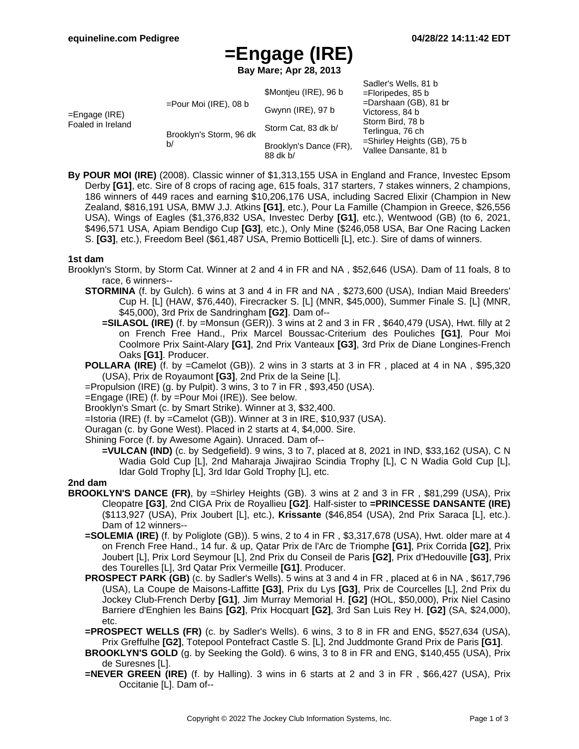# **=Engage (IRE)**

**Bay Mare; Apr 28, 2013**

| =Engage (IRE)<br>Foaled in Ireland | $=$ Pour Moi (IRE), 08 b<br>Brooklyn's Storm, 96 dk<br>b/ | \$Montjeu (IRE), 96 b<br>Gwynn (IRE), 97 b<br>Storm Cat, 83 dk b/<br>Brooklyn's Dance (FR),<br>88 dk b/ | Sadler's Wells, 81 b<br>$=$ Floripedes, 85 b<br>$=$ Darshaan (GB), 81 br<br>Victoress, 84 b<br>Storm Bird, 78 b<br>Terlingua, 76 ch<br>=Shirley Heights (GB), 75 b<br>Vallee Dansante, 81 b |
|------------------------------------|-----------------------------------------------------------|---------------------------------------------------------------------------------------------------------|---------------------------------------------------------------------------------------------------------------------------------------------------------------------------------------------|
|------------------------------------|-----------------------------------------------------------|---------------------------------------------------------------------------------------------------------|---------------------------------------------------------------------------------------------------------------------------------------------------------------------------------------------|

**By POUR MOI (IRE)** (2008). Classic winner of \$1,313,155 USA in England and France, Investec Epsom Derby **[G1]**, etc. Sire of 8 crops of racing age, 615 foals, 317 starters, 7 stakes winners, 2 champions, 186 winners of 449 races and earning \$10,206,176 USA, including Sacred Elixir (Champion in New Zealand, \$816,191 USA, BMW J.J. Atkins **[G1]**, etc.), Pour La Famille (Champion in Greece, \$26,556 USA), Wings of Eagles (\$1,376,832 USA, Investec Derby **[G1]**, etc.), Wentwood (GB) (to 6, 2021, \$496,571 USA, Apiam Bendigo Cup **[G3]**, etc.), Only Mine (\$246,058 USA, Bar One Racing Lacken S. **[G3]**, etc.), Freedom Beel (\$61,487 USA, Premio Botticelli [L], etc.). Sire of dams of winners.

#### **1st dam**

- Brooklyn's Storm, by Storm Cat. Winner at 2 and 4 in FR and NA , \$52,646 (USA). Dam of 11 foals, 8 to race, 6 winners--
	- **STORMINA** (f. by Gulch). 6 wins at 3 and 4 in FR and NA , \$273,600 (USA), Indian Maid Breeders' Cup H. [L] (HAW, \$76,440), Firecracker S. [L] (MNR, \$45,000), Summer Finale S. [L] (MNR, \$45,000), 3rd Prix de Sandringham **[G2]**. Dam of--
		- **=SILASOL (IRE)** (f. by =Monsun (GER)). 3 wins at 2 and 3 in FR , \$640,479 (USA), Hwt. filly at 2 on French Free Hand., Prix Marcel Boussac-Criterium des Pouliches **[G1]**, Pour Moi Coolmore Prix Saint-Alary **[G1]**, 2nd Prix Vanteaux **[G3]**, 3rd Prix de Diane Longines-French Oaks **[G1]**. Producer.
	- **POLLARA (IRE)** (f. by =Camelot (GB)). 2 wins in 3 starts at 3 in FR , placed at 4 in NA , \$95,320 (USA), Prix de Royaumont **[G3]**, 2nd Prix de la Seine [L].
	- $=$ Propulsion (IRE) (g. by Pulpit). 3 wins, 3 to 7 in FR, \$93,450 (USA).
	- =Engage (IRE) (f. by =Pour Moi (IRE)). See below.
	- Brooklyn's Smart (c. by Smart Strike). Winner at 3, \$32,400.
	- =Istoria (IRE) (f. by =Camelot (GB)). Winner at 3 in IRE, \$10,937 (USA).
	- Ouragan (c. by Gone West). Placed in 2 starts at 4, \$4,000. Sire.
	- Shining Force (f. by Awesome Again). Unraced. Dam of--
		- **=VULCAN (IND)** (c. by Sedgefield). 9 wins, 3 to 7, placed at 8, 2021 in IND, \$33,162 (USA), C N Wadia Gold Cup [L], 2nd Maharaja Jiwajirao Scindia Trophy [L], C N Wadia Gold Cup [L], Idar Gold Trophy [L], 3rd Idar Gold Trophy [L], etc.

#### **2nd dam**

- **BROOKLYN'S DANCE (FR)**, by =Shirley Heights (GB). 3 wins at 2 and 3 in FR , \$81,299 (USA), Prix Cleopatre **[G3]**, 2nd CIGA Prix de Royallieu **[G2]**. Half-sister to **=PRINCESSE DANSANTE (IRE)** (\$113,927 (USA), Prix Joubert [L], etc.), **Krissante** (\$46,854 (USA), 2nd Prix Saraca [L], etc.). Dam of 12 winners--
	- **=SOLEMIA (IRE)** (f. by Poliglote (GB)). 5 wins, 2 to 4 in FR , \$3,317,678 (USA), Hwt. older mare at 4 on French Free Hand., 14 fur. & up, Qatar Prix de l'Arc de Triomphe **[G1]**, Prix Corrida **[G2]**, Prix Joubert [L], Prix Lord Seymour [L], 2nd Prix du Conseil de Paris **[G2]**, Prix d'Hedouville **[G3]**, Prix des Tourelles [L], 3rd Qatar Prix Vermeille **[G1]**. Producer.
	- **PROSPECT PARK (GB)** (c. by Sadler's Wells). 5 wins at 3 and 4 in FR, placed at 6 in NA, \$617,796 (USA), La Coupe de Maisons-Laffitte **[G3]**, Prix du Lys **[G3]**, Prix de Courcelles [L], 2nd Prix du Jockey Club-French Derby **[G1]**, Jim Murray Memorial H. **[G2]** (HOL, \$50,000), Prix Niel Casino Barriere d'Enghien les Bains **[G2]**, Prix Hocquart **[G2]**, 3rd San Luis Rey H. **[G2]** (SA, \$24,000), etc.
	- **=PROSPECT WELLS (FR)** (c. by Sadler's Wells). 6 wins, 3 to 8 in FR and ENG, \$527,634 (USA), Prix Greffulhe **[G2]**, Totepool Pontefract Castle S. [L], 2nd Juddmonte Grand Prix de Paris **[G1]**.
	- **BROOKLYN'S GOLD** (g. by Seeking the Gold). 6 wins, 3 to 8 in FR and ENG, \$140,455 (USA), Prix de Suresnes [L].
	- **=NEVER GREEN (IRE)** (f. by Halling). 3 wins in 6 starts at 2 and 3 in FR , \$66,427 (USA), Prix Occitanie [L]. Dam of--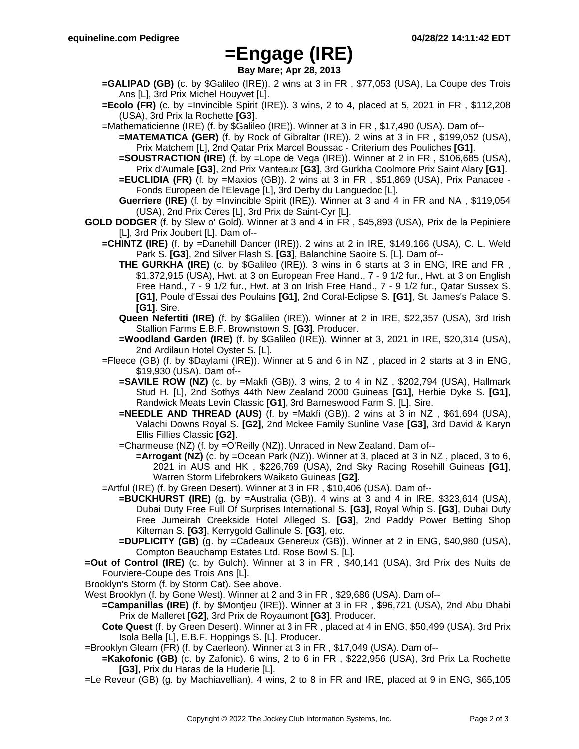### **=Engage (IRE)**

**Bay Mare; Apr 28, 2013**

- **=GALIPAD (GB)** (c. by \$Galileo (IRE)). 2 wins at 3 in FR , \$77,053 (USA), La Coupe des Trois Ans [L], 3rd Prix Michel Houyvet [L].
- **=Ecolo (FR)** (c. by =Invincible Spirit (IRE)). 3 wins, 2 to 4, placed at 5, 2021 in FR , \$112,208 (USA), 3rd Prix la Rochette **[G3]**.
- =Mathematicienne (IRE) (f. by \$Galileo (IRE)). Winner at 3 in FR , \$17,490 (USA). Dam of--
	- **=MATEMATICA (GER)** (f. by Rock of Gibraltar (IRE)). 2 wins at 3 in FR , \$199,052 (USA), Prix Matchem [L], 2nd Qatar Prix Marcel Boussac - Criterium des Pouliches **[G1]**.
	- **=SOUSTRACTION (IRE)** (f. by =Lope de Vega (IRE)). Winner at 2 in FR, \$106,685 (USA), Prix d'Aumale **[G3]**, 2nd Prix Vanteaux **[G3]**, 3rd Gurkha Coolmore Prix Saint Alary **[G1]**.
	- **=EUCLIDIA (FR)** (f. by =Maxios (GB)). 2 wins at 3 in FR , \$51,869 (USA), Prix Panacee Fonds Europeen de l'Elevage [L], 3rd Derby du Languedoc [L].
	- **Guerriere (IRE)** (f. by =Invincible Spirit (IRE)). Winner at 3 and 4 in FR and NA , \$119,054 (USA), 2nd Prix Ceres [L], 3rd Prix de Saint-Cyr [L].
- **GOLD DODGER** (f. by Slew o' Gold). Winner at 3 and 4 in FR , \$45,893 (USA), Prix de la Pepiniere [L], 3rd Prix Joubert [L]. Dam of--
	- **=CHINTZ (IRE)** (f. by =Danehill Dancer (IRE)). 2 wins at 2 in IRE, \$149,166 (USA), C. L. Weld Park S. **[G3]**, 2nd Silver Flash S. **[G3]**, Balanchine Saoire S. [L]. Dam of--
		- **THE GURKHA (IRE)** (c. by \$Galileo (IRE)). 3 wins in 6 starts at 3 in ENG, IRE and FR , \$1,372,915 (USA), Hwt. at 3 on European Free Hand., 7 - 9 1/2 fur., Hwt. at 3 on English Free Hand., 7 - 9 1/2 fur., Hwt. at 3 on Irish Free Hand., 7 - 9 1/2 fur., Qatar Sussex S. **[G1]**, Poule d'Essai des Poulains **[G1]**, 2nd Coral-Eclipse S. **[G1]**, St. James's Palace S. **[G1]**. Sire.
		- **Queen Nefertiti (IRE)** (f. by \$Galileo (IRE)). Winner at 2 in IRE, \$22,357 (USA), 3rd Irish Stallion Farms E.B.F. Brownstown S. **[G3]**. Producer.
		- **=Woodland Garden (IRE)** (f. by \$Galileo (IRE)). Winner at 3, 2021 in IRE, \$20,314 (USA), 2nd Ardilaun Hotel Oyster S. [L].
	- =Fleece (GB) (f. by \$Daylami (IRE)). Winner at 5 and 6 in NZ , placed in 2 starts at 3 in ENG, \$19,930 (USA). Dam of--
		- **=SAVILE ROW (NZ)** (c. by =Makfi (GB)). 3 wins, 2 to 4 in NZ, \$202,794 (USA), Hallmark Stud H. [L], 2nd Sothys 44th New Zealand 2000 Guineas **[G1]**, Herbie Dyke S. **[G1]**, Randwick Meats Levin Classic **[G1]**, 3rd Barneswood Farm S. [L]. Sire.
		- **=NEEDLE AND THREAD (AUS)** (f. by =Makfi (GB)). 2 wins at 3 in NZ , \$61,694 (USA), Valachi Downs Royal S. **[G2]**, 2nd Mckee Family Sunline Vase **[G3]**, 3rd David & Karyn Ellis Fillies Classic **[G2]**.
		- =Charmeuse (NZ) (f. by =O'Reilly (NZ)). Unraced in New Zealand. Dam of--
			- **=Arrogant (NZ)** (c. by =Ocean Park (NZ)). Winner at 3, placed at 3 in NZ, placed, 3 to 6, 2021 in AUS and HK , \$226,769 (USA), 2nd Sky Racing Rosehill Guineas **[G1]**, Warren Storm Lifebrokers Waikato Guineas **[G2]**.
	- =Artful (IRE) (f. by Green Desert). Winner at 3 in FR , \$10,406 (USA). Dam of--
		- **=BUCKHURST (IRE)** (g. by =Australia (GB)). 4 wins at 3 and 4 in IRE, \$323,614 (USA), Dubai Duty Free Full Of Surprises International S. **[G3]**, Royal Whip S. **[G3]**, Dubai Duty Free Jumeirah Creekside Hotel Alleged S. **[G3]**, 2nd Paddy Power Betting Shop Kilternan S. **[G3]**, Kerrygold Gallinule S. **[G3]**, etc.
			- **=DUPLICITY (GB)** (g. by =Cadeaux Genereux (GB)). Winner at 2 in ENG, \$40,980 (USA), Compton Beauchamp Estates Ltd. Rose Bowl S. [L].
- **=Out of Control (IRE)** (c. by Gulch). Winner at 3 in FR , \$40,141 (USA), 3rd Prix des Nuits de Fourviere-Coupe des Trois Ans [L].
- Brooklyn's Storm (f. by Storm Cat). See above.

West Brooklyn (f. by Gone West). Winner at 2 and 3 in FR , \$29,686 (USA). Dam of--

- **=Campanillas (IRE)** (f. by \$Montjeu (IRE)). Winner at 3 in FR , \$96,721 (USA), 2nd Abu Dhabi Prix de Malleret **[G2]**, 3rd Prix de Royaumont **[G3]**. Producer.
- **Cote Quest** (f. by Green Desert). Winner at 3 in FR , placed at 4 in ENG, \$50,499 (USA), 3rd Prix Isola Bella [L], E.B.F. Hoppings S. [L]. Producer.
- =Brooklyn Gleam (FR) (f. by Caerleon). Winner at 3 in FR , \$17,049 (USA). Dam of--
	- **=Kakofonic (GB)** (c. by Zafonic). 6 wins, 2 to 6 in FR , \$222,956 (USA), 3rd Prix La Rochette **[G3]**, Prix du Haras de la Huderie [L].
- =Le Reveur (GB) (g. by Machiavellian). 4 wins, 2 to 8 in FR and IRE, placed at 9 in ENG, \$65,105